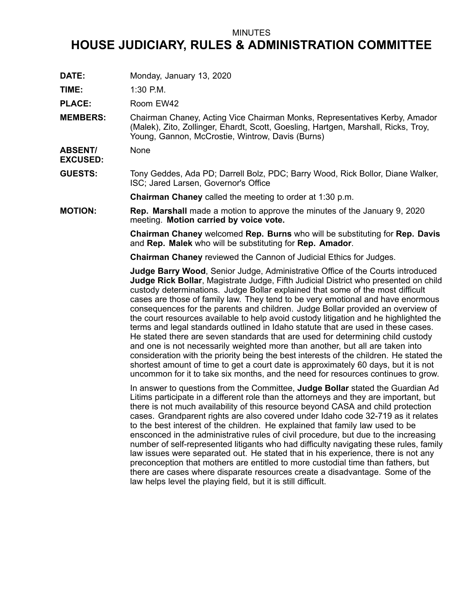## MINUTES

## **HOUSE JUDICIARY, RULES & ADMINISTRATION COMMITTEE**

**DATE:** Monday, January 13, 2020

**TIME:** 1:30 P.M.

PLACE: Room EW42

**MEMBERS:** Chairman Chaney, Acting Vice Chairman Monks, Representatives Kerby, Amador (Malek), Zito, Zollinger, Ehardt, Scott, Goesling, Hartgen, Marshall, Ricks, Troy, Young, Gannon, McCrostie, Wintrow, Davis (Burns)

**ABSENT/** None

**EXCUSED:**

**GUESTS:** Tony Geddes, Ada PD; Darrell Bolz, PDC; Barry Wood, Rick Bollor, Diane Walker, ISC; Jared Larsen, Governor's Office

**Chairman Chaney** called the meeting to order at 1:30 p.m.

**MOTION: Rep. Marshall** made <sup>a</sup> motion to approve the minutes of the January 9, 2020 meeting. **Motion carried by voice vote.**

> **Chairman Chaney** welcomed **Rep. Burns** who will be substituting for **Rep. Davis** and **Rep. Malek** who will be substituting for **Rep. Amador**.

**Chairman Chaney** reviewed the Cannon of Judicial Ethics for Judges.

**Judge Barry Wood**, Senior Judge, Administrative Office of the Courts introduced **Judge Rick Bollar**, Magistrate Judge, Fifth Judicial District who presented on child custody determinations. Judge Bollar explained that some of the most difficult cases are those of family law. They tend to be very emotional and have enormous consequences for the parents and children. Judge Bollar provided an overview of the court resources available to help avoid custody litigation and he highlighted the terms and legal standards outlined in Idaho statute that are used in these cases. He stated there are seven standards that are used for determining child custody and one is not necessarily weighted more than another, but all are taken into consideration with the priority being the best interests of the children. He stated the shortest amount of time to get <sup>a</sup> court date is approximately 60 days, but it is not uncommon for it to take six months, and the need for resources continues to grow.

In answer to questions from the Committee, **Judge Bollar** stated the Guardian Ad Litims participate in <sup>a</sup> different role than the attorneys and they are important, but there is not much availability of this resource beyond CASA and child protection cases. Grandparent rights are also covered under Idaho code 32-719 as it relates to the best interest of the children. He explained that family law used to be ensconced in the administrative rules of civil procedure, but due to the increasing number of self-represented litigants who had difficulty navigating these rules, family law issues were separated out. He stated that in his experience, there is not any preconception that mothers are entitled to more custodial time than fathers, but there are cases where disparate resources create <sup>a</sup> disadvantage. Some of the law helps level the playing field, but it is still difficult.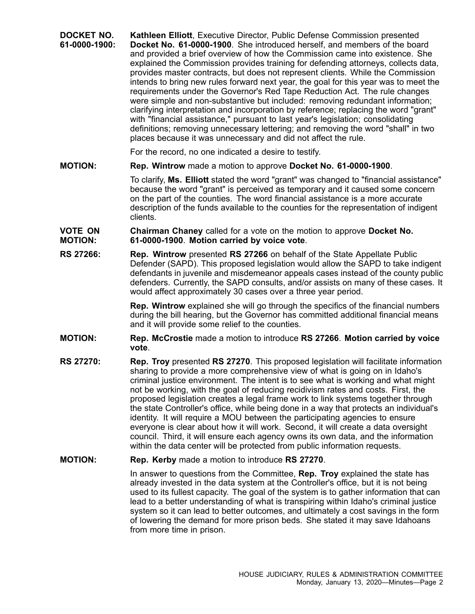| DOCKET NO.<br>61-0000-1900: | Kathleen Elliott, Executive Director, Public Defense Commission presented<br>Docket No. 61-0000-1900. She introduced herself, and members of the board<br>and provided a brief overview of how the Commission came into existence. She<br>explained the Commission provides training for defending attorneys, collects data,<br>provides master contracts, but does not represent clients. While the Commission<br>intends to bring new rules forward next year, the goal for this year was to meet the<br>requirements under the Governor's Red Tape Reduction Act. The rule changes<br>were simple and non-substantive but included: removing redundant information;<br>clarifying interpretation and incorporation by reference; replacing the word "grant"<br>with "financial assistance," pursuant to last year's legislation; consolidating<br>definitions; removing unnecessary lettering; and removing the word "shall" in two<br>places because it was unnecessary and did not affect the rule. |
|-----------------------------|----------------------------------------------------------------------------------------------------------------------------------------------------------------------------------------------------------------------------------------------------------------------------------------------------------------------------------------------------------------------------------------------------------------------------------------------------------------------------------------------------------------------------------------------------------------------------------------------------------------------------------------------------------------------------------------------------------------------------------------------------------------------------------------------------------------------------------------------------------------------------------------------------------------------------------------------------------------------------------------------------------|
|                             | For the record, no one indicated a desire to testify.                                                                                                                                                                                                                                                                                                                                                                                                                                                                                                                                                                                                                                                                                                                                                                                                                                                                                                                                                    |
| <b>MOTION:</b>              | Rep. Wintrow made a motion to approve Docket No. 61-0000-1900.                                                                                                                                                                                                                                                                                                                                                                                                                                                                                                                                                                                                                                                                                                                                                                                                                                                                                                                                           |
|                             | To clarify, Ms. Elliott stated the word "grant" was changed to "financial assistance"<br>because the word "grant" is perceived as temporary and it caused some concern<br>on the part of the counties. The word financial assistance is a more accurate<br>description of the funds available to the counties for the representation of indigent<br>clients.                                                                                                                                                                                                                                                                                                                                                                                                                                                                                                                                                                                                                                             |
| VOTE ON<br><b>MOTION:</b>   | <b>Chairman Chaney</b> called for a vote on the motion to approve Docket No.<br>61-0000-1900. Motion carried by voice vote.                                                                                                                                                                                                                                                                                                                                                                                                                                                                                                                                                                                                                                                                                                                                                                                                                                                                              |
| <b>RS 27266:</b>            | <b>Rep. Wintrow</b> presented RS 27266 on behalf of the State Appellate Public<br>Defender (SAPD). This proposed legislation would allow the SAPD to take indigent<br>defendants in juvenile and misdemeanor appeals cases instead of the county public<br>defenders. Currently, the SAPD consults, and/or assists on many of these cases. It<br>would affect approximately 30 cases over a three year period.                                                                                                                                                                                                                                                                                                                                                                                                                                                                                                                                                                                           |
|                             | <b>Rep. Wintrow</b> explained she will go through the specifics of the financial numbers<br>during the bill hearing, but the Governor has committed additional financial means<br>and it will provide some relief to the counties.                                                                                                                                                                                                                                                                                                                                                                                                                                                                                                                                                                                                                                                                                                                                                                       |
| <b>MOTION:</b>              | Rep. McCrostie made a motion to introduce RS 27266. Motion carried by voice<br>vote.                                                                                                                                                                                                                                                                                                                                                                                                                                                                                                                                                                                                                                                                                                                                                                                                                                                                                                                     |
| <b>RS 27270:</b>            | Rep. Troy presented RS 27270. This proposed legislation will facilitate information<br>sharing to provide a more comprehensive view of what is going on in Idaho's<br>criminal justice environment. The intent is to see what is working and what might<br>not be working, with the goal of reducing recidivism rates and costs. First, the<br>proposed legislation creates a legal frame work to link systems together through<br>the state Controller's office, while being done in a way that protects an individual's<br>identity. It will require a MOU between the participating agencies to ensure<br>everyone is clear about how it will work. Second, it will create a data oversight<br>council. Third, it will ensure each agency owns its own data, and the information<br>within the data center will be protected from public information requests.                                                                                                                                        |

## **MOTION: Rep. Kerby** made <sup>a</sup> motion to introduce **RS 27270**.

In answer to questions from the Committee, **Rep. Troy** explained the state has already invested in the data system at the Controller's office, but it is not being used to its fullest capacity. The goal of the system is to gather information that can lead to <sup>a</sup> better understanding of what is transpiring within Idaho's criminal justice system so it can lead to better outcomes, and ultimately <sup>a</sup> cost savings in the form of lowering the demand for more prison beds. She stated it may save Idahoans from more time in prison.